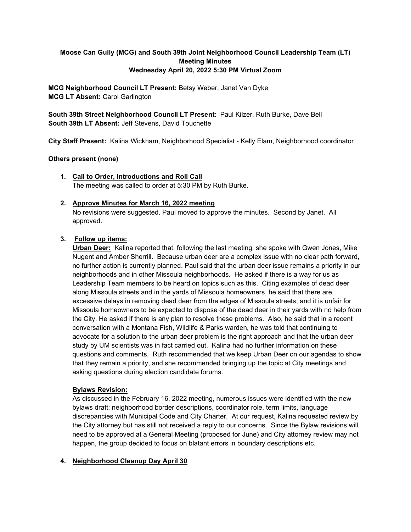# **Moose Can Gully (MCG) and South 39th Joint Neighborhood Council Leadership Team (LT) Meeting Minutes Wednesday April 20, 2022 5:30 PM Virtual Zoom**

**MCG Neighborhood Council LT Present:** Betsy Weber, Janet Van Dyke **MCG LT Absent:** Carol Garlington

**South 39th Street Neighborhood Council LT Present**: Paul Kilzer, Ruth Burke, Dave Bell **South 39th LT Absent:** Jeff Stevens, David Touchette

**City Staff Present:** Kalina Wickham, Neighborhood Specialist - Kelly Elam, Neighborhood coordinator

#### **Others present (none)**

**1. Call to Order, Introductions and Roll Call** The meeting was called to order at 5:30 PM by Ruth Burke.

#### **2. Approve Minutes for March 16, 2022 meeting**

No revisions were suggested. Paul moved to approve the minutes. Second by Janet. All approved.

#### **3. Follow up items:**

**Urban Deer:** Kalina reported that, following the last meeting, she spoke with Gwen Jones, Mike Nugent and Amber Sherrill. Because urban deer are a complex issue with no clear path forward, no further action is currently planned. Paul said that the urban deer issue remains a priority in our neighborhoods and in other Missoula neighborhoods. He asked if there is a way for us as Leadership Team members to be heard on topics such as this. Citing examples of dead deer along Missoula streets and in the yards of Missoula homeowners, he said that there are excessive delays in removing dead deer from the edges of Missoula streets, and it is unfair for Missoula homeowners to be expected to dispose of the dead deer in their yards with no help from the City. He asked if there is any plan to resolve these problems. Also, he said that in a recent conversation with a Montana Fish, Wildlife & Parks warden, he was told that continuing to advocate for a solution to the urban deer problem is the right approach and that the urban deer study by UM scientists was in fact carried out. Kalina had no further information on these questions and comments. Ruth recommended that we keep Urban Deer on our agendas to show that they remain a priority, and she recommended bringing up the topic at City meetings and asking questions during election candidate forums.

## **Bylaws Revision:**

As discussed in the February 16, 2022 meeting, numerous issues were identified with the new bylaws draft: neighborhood border descriptions, coordinator role, term limits, language discrepancies with Municipal Code and City Charter. At our request, Kalina requested review by the City attorney but has still not received a reply to our concerns. Since the Bylaw revisions will need to be approved at a General Meeting (proposed for June) and City attorney review may not happen, the group decided to focus on blatant errors in boundary descriptions etc.

## **4. Neighborhood Cleanup Day April 30**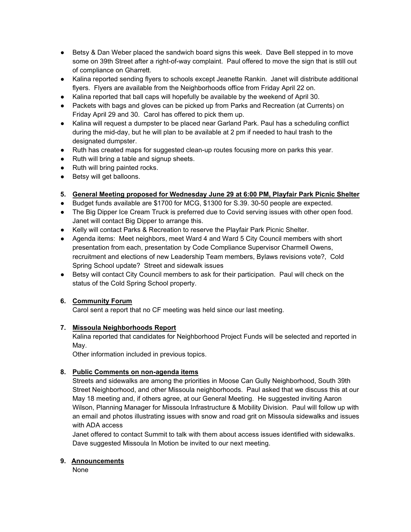- Betsy & Dan Weber placed the sandwich board signs this week. Dave Bell stepped in to move some on 39th Street after a right-of-way complaint. Paul offered to move the sign that is still out of compliance on Gharrett.
- Kalina reported sending flyers to schools except Jeanette Rankin. Janet will distribute additional flyers. Flyers are available from the Neighborhoods office from Friday April 22 on.
- Kalina reported that ball caps will hopefully be available by the weekend of April 30.
- Packets with bags and gloves can be picked up from Parks and Recreation (at Currents) on Friday April 29 and 30. Carol has offered to pick them up.
- Kalina will request a dumpster to be placed near Garland Park. Paul has a scheduling conflict during the mid-day, but he will plan to be available at 2 pm if needed to haul trash to the designated dumpster.
- Ruth has created maps for suggested clean-up routes focusing more on parks this year.
- Ruth will bring a table and signup sheets.
- Ruth will bring painted rocks.
- Betsy will get balloons.

## **5. General Meeting proposed for Wednesday June 29 at 6:00 PM, Playfair Park Picnic Shelter**

- Budget funds available are \$1700 for MCG, \$1300 for S.39. 30-50 people are expected.
- The Big Dipper Ice Cream Truck is preferred due to Covid serving issues with other open food. Janet will contact Big Dipper to arrange this.
- Kelly will contact Parks & Recreation to reserve the Playfair Park Picnic Shelter.
- Agenda items: Meet neighbors, meet Ward 4 and Ward 5 City Council members with short presentation from each, presentation by Code Compliance Supervisor Charmell Owens, recruitment and elections of new Leadership Team members, Bylaws revisions vote?, Cold Spring School update? Street and sidewalk issues
- Betsy will contact City Council members to ask for their participation. Paul will check on the status of the Cold Spring School property.

# **6. Community Forum**

Carol sent a report that no CF meeting was held since our last meeting.

## **7. Missoula Neighborhoods Report**

Kalina reported that candidates for Neighborhood Project Funds will be selected and reported in May.

Other information included in previous topics.

## **8. Public Comments on non-agenda items**

Streets and sidewalks are among the priorities in Moose Can Gully Neighborhood, South 39th Street Neighborhood, and other Missoula neighborhoods. Paul asked that we discuss this at our May 18 meeting and, if others agree, at our General Meeting. He suggested inviting Aaron Wilson, Planning Manager for Missoula Infrastructure & Mobility Division. Paul will follow up with an email and photos illustrating issues with snow and road grit on Missoula sidewalks and issues with ADA access

Janet offered to contact Summit to talk with them about access issues identified with sidewalks. Dave suggested Missoula In Motion be invited to our next meeting.

## **9. Announcements**

None